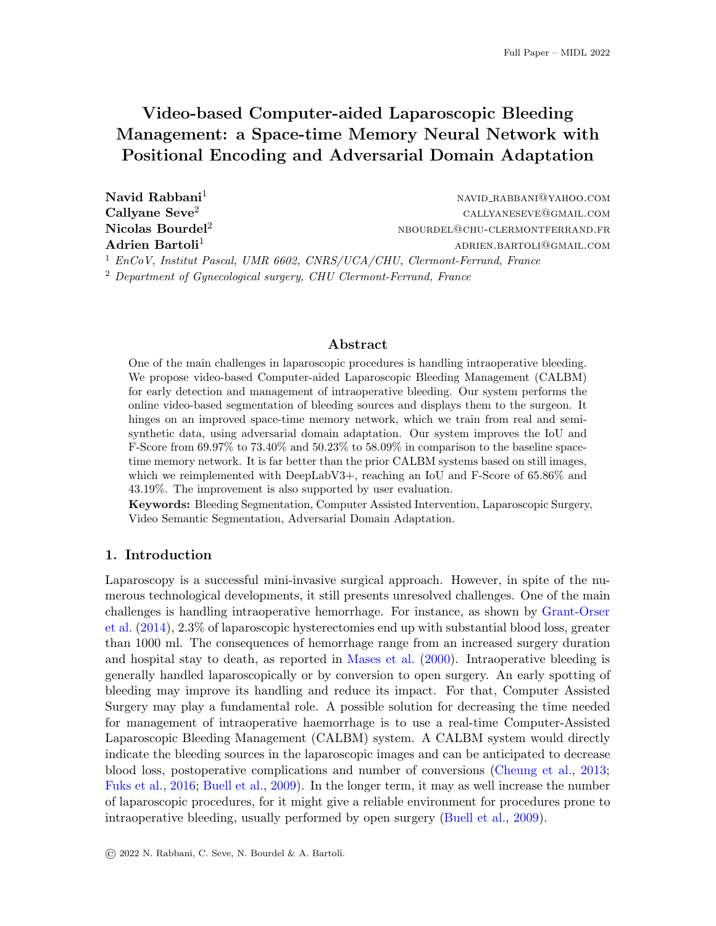# Video-based Computer-aided Laparoscopic Bleeding Management: a Space-time Memory Neural Network with Positional Encoding and Adversarial Domain Adaptation

Navid Rabbani<sup>1</sup> navid rabbani<sup>1</sup> navid rabbani<sup>1</sup> navid rabbaning rabbaning rabbaning rabbaning rabbaning rabbaning rabbaning rabbaning rabbaning rabbaning rabbaning rabbaning rabbaning rabbaning rabbaning rabbaning rabba Callyane Seve<sup>2</sup> callyaneseve@gmail.com  $\bf{Nicolas~Bourdel^2}$  nbourdel? Adrien Bartoli<sup>1</sup> adriential adriential adriential adriential adriential adriential adriential advertisers and advertisers are the set of the set of the set of the set of the set of the set of the set of the set of the set  $1$  EnCoV, Institut Pascal, UMR 6602, CNRS/UCA/CHU, Clermont-Ferrand, France

<sup>2</sup> Department of Gynecological surgery, CHU Clermont-Ferrand, France

## Abstract

One of the main challenges in laparoscopic procedures is handling intraoperative bleeding. We propose video-based Computer-aided Laparoscopic Bleeding Management (CALBM) for early detection and management of intraoperative bleeding. Our system performs the online video-based segmentation of bleeding sources and displays them to the surgeon. It hinges on an improved space-time memory network, which we train from real and semisynthetic data, using adversarial domain adaptation. Our system improves the IoU and F-Score from  $69.97\%$  to  $73.40\%$  and  $50.23\%$  to  $58.09\%$  in comparison to the baseline spacetime memory network. It is far better than the prior CALBM systems based on still images, which we reimplemented with DeepLabV3+, reaching an IoU and F-Score of 65.86% and 43.19%. The improvement is also supported by user evaluation.

Keywords: Bleeding Segmentation, Computer Assisted Intervention, Laparoscopic Surgery, Video Semantic Segmentation, Adversarial Domain Adaptation.

## 1. Introduction

Laparoscopy is a successful mini-invasive surgical approach. However, in spite of the numerous technological developments, it still presents unresolved challenges. One of the main challenges is handling intraoperative hemorrhage. For instance, as shown by [Grant-Orser](#page-9-0) [et al.](#page-9-0) [\(2014\)](#page-9-0), 2.3% of laparoscopic hysterectomies end up with substantial blood loss, greater than 1000 ml. The consequences of hemorrhage range from an increased surgery duration and hospital stay to death, as reported in [Mases et al.](#page-9-1) [\(2000\)](#page-9-1). Intraoperative bleeding is generally handled laparoscopically or by conversion to open surgery. An early spotting of bleeding may improve its handling and reduce its impact. For that, Computer Assisted Surgery may play a fundamental role. A possible solution for decreasing the time needed for management of intraoperative haemorrhage is to use a real-time Computer-Assisted Laparoscopic Bleeding Management (CALBM) system. A CALBM system would directly indicate the bleeding sources in the laparoscopic images and can be anticipated to decrease blood loss, postoperative complications and number of conversions [\(Cheung et al.,](#page-8-0) [2013;](#page-8-0) [Fuks et al.,](#page-8-1) [2016;](#page-8-1) [Buell et al.,](#page-8-2) [2009\)](#page-8-2). In the longer term, it may as well increase the number of laparoscopic procedures, for it might give a reliable environment for procedures prone to intraoperative bleeding, usually performed by open surgery [\(Buell et al.,](#page-8-2) [2009\)](#page-8-2).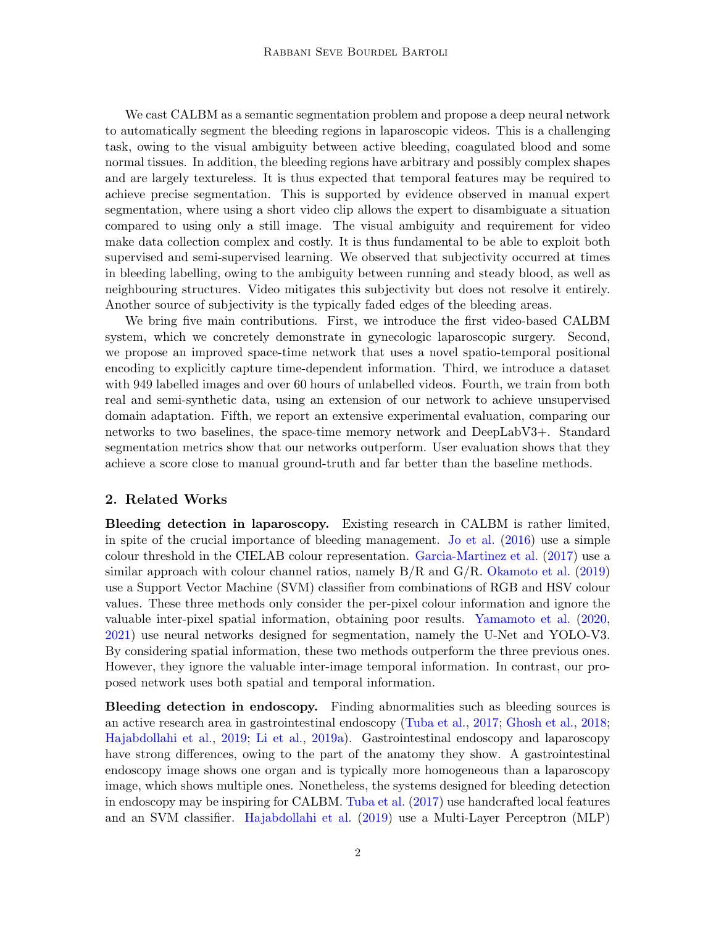We cast CALBM as a semantic segmentation problem and propose a deep neural network to automatically segment the bleeding regions in laparoscopic videos. This is a challenging task, owing to the visual ambiguity between active bleeding, coagulated blood and some normal tissues. In addition, the bleeding regions have arbitrary and possibly complex shapes and are largely textureless. It is thus expected that temporal features may be required to achieve precise segmentation. This is supported by evidence observed in manual expert segmentation, where using a short video clip allows the expert to disambiguate a situation compared to using only a still image. The visual ambiguity and requirement for video make data collection complex and costly. It is thus fundamental to be able to exploit both supervised and semi-supervised learning. We observed that subjectivity occurred at times in bleeding labelling, owing to the ambiguity between running and steady blood, as well as neighbouring structures. Video mitigates this subjectivity but does not resolve it entirely. Another source of subjectivity is the typically faded edges of the bleeding areas.

We bring five main contributions. First, we introduce the first video-based CALBM system, which we concretely demonstrate in gynecologic laparoscopic surgery. Second, we propose an improved space-time network that uses a novel spatio-temporal positional encoding to explicitly capture time-dependent information. Third, we introduce a dataset with 949 labelled images and over 60 hours of unlabelled videos. Fourth, we train from both real and semi-synthetic data, using an extension of our network to achieve unsupervised domain adaptation. Fifth, we report an extensive experimental evaluation, comparing our networks to two baselines, the space-time memory network and DeepLabV3+. Standard segmentation metrics show that our networks outperform. User evaluation shows that they achieve a score close to manual ground-truth and far better than the baseline methods.

### 2. Related Works

Bleeding detection in laparoscopy. Existing research in CALBM is rather limited, in spite of the crucial importance of bleeding management. [Jo et al.](#page-9-2) [\(2016\)](#page-9-2) use a simple colour threshold in the CIELAB colour representation. [Garcia-Martinez et al.](#page-8-3) [\(2017\)](#page-8-3) use a similar approach with colour channel ratios, namely  $B/R$  and  $G/R$ . [Okamoto et al.](#page-10-0) [\(2019\)](#page-10-0) use a Support Vector Machine (SVM) classifier from combinations of RGB and HSV colour values. These three methods only consider the per-pixel colour information and ignore the valuable inter-pixel spatial information, obtaining poor results. [Yamamoto et al.](#page-10-1) [\(2020,](#page-10-1) [2021\)](#page-10-2) use neural networks designed for segmentation, namely the U-Net and YOLO-V3. By considering spatial information, these two methods outperform the three previous ones. However, they ignore the valuable inter-image temporal information. In contrast, our proposed network uses both spatial and temporal information.

Bleeding detection in endoscopy. Finding abnormalities such as bleeding sources is an active research area in gastrointestinal endoscopy [\(Tuba et al.,](#page-10-3) [2017;](#page-10-3) [Ghosh et al.,](#page-8-4) [2018;](#page-8-4) [Hajabdollahi et al.,](#page-9-3) [2019;](#page-9-3) [Li et al.,](#page-9-4) [2019a\)](#page-9-4). Gastrointestinal endoscopy and laparoscopy have strong differences, owing to the part of the anatomy they show. A gastrointestinal endoscopy image shows one organ and is typically more homogeneous than a laparoscopy image, which shows multiple ones. Nonetheless, the systems designed for bleeding detection in endoscopy may be inspiring for CALBM. [Tuba et al.](#page-10-3) [\(2017\)](#page-10-3) use handcrafted local features and an SVM classifier. [Hajabdollahi et al.](#page-9-3) [\(2019\)](#page-9-3) use a Multi-Layer Perceptron (MLP)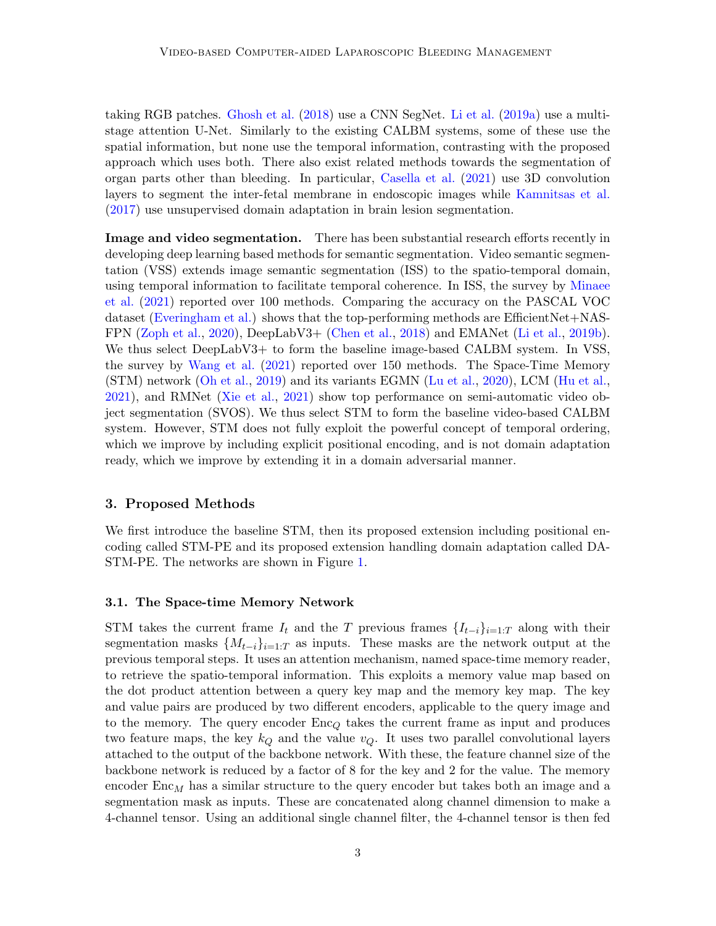taking RGB patches. [Ghosh et al.](#page-8-4) [\(2018\)](#page-8-4) use a CNN SegNet. [Li et al.](#page-9-4) [\(2019a\)](#page-9-4) use a multistage attention U-Net. Similarly to the existing CALBM systems, some of these use the spatial information, but none use the temporal information, contrasting with the proposed approach which uses both. There also exist related methods towards the segmentation of organ parts other than bleeding. In particular, [Casella et al.](#page-8-5) [\(2021\)](#page-8-5) use 3D convolution layers to segment the inter-fetal membrane in endoscopic images while [Kamnitsas et al.](#page-9-5) [\(2017\)](#page-9-5) use unsupervised domain adaptation in brain lesion segmentation.

Image and video segmentation. There has been substantial research efforts recently in developing deep learning based methods for semantic segmentation. Video semantic segmentation (VSS) extends image semantic segmentation (ISS) to the spatio-temporal domain, using temporal information to facilitate temporal coherence. In ISS, the survey by [Minaee](#page-9-6) [et al.](#page-9-6) [\(2021\)](#page-9-6) reported over 100 methods. Comparing the accuracy on the PASCAL VOC dataset [\(Everingham et al.\)](#page-8-6) shows that the top-performing methods are EfficientNet+NAS-FPN [\(Zoph et al.,](#page-10-4) [2020\)](#page-10-4), DeepLabV3+ [\(Chen et al.,](#page-8-7) [2018\)](#page-8-7) and EMANet [\(Li et al.,](#page-9-7) [2019b\)](#page-9-7). We thus select DeepLabV3+ to form the baseline image-based CALBM system. In VSS, the survey by [Wang et al.](#page-10-5) [\(2021\)](#page-10-5) reported over 150 methods. The Space-Time Memory (STM) network [\(Oh et al.,](#page-10-6) [2019\)](#page-10-6) and its variants EGMN [\(Lu et al.,](#page-9-8) [2020\)](#page-9-8), LCM [\(Hu et al.,](#page-9-9) [2021\)](#page-9-9), and RMNet [\(Xie et al.,](#page-10-7) [2021\)](#page-10-7) show top performance on semi-automatic video object segmentation (SVOS). We thus select STM to form the baseline video-based CALBM system. However, STM does not fully exploit the powerful concept of temporal ordering, which we improve by including explicit positional encoding, and is not domain adaptation ready, which we improve by extending it in a domain adversarial manner.

### 3. Proposed Methods

We first introduce the baseline STM, then its proposed extension including positional encoding called STM-PE and its proposed extension handling domain adaptation called DA-STM-PE. The networks are shown in Figure [1.](#page-3-0)

#### 3.1. The Space-time Memory Network

STM takes the current frame  $I_t$  and the T previous frames  $\{I_{t-i}\}_{i=1:T}$  along with their segmentation masks  $\{M_{t-i}\}_{i=1:T}$  as inputs. These masks are the network output at the previous temporal steps. It uses an attention mechanism, named space-time memory reader, to retrieve the spatio-temporal information. This exploits a memory value map based on the dot product attention between a query key map and the memory key map. The key and value pairs are produced by two different encoders, applicable to the query image and to the memory. The query encoder  $Enc_Q$  takes the current frame as input and produces two feature maps, the key  $k_Q$  and the value  $v_Q$ . It uses two parallel convolutional layers attached to the output of the backbone network. With these, the feature channel size of the backbone network is reduced by a factor of 8 for the key and 2 for the value. The memory encoder  $Enc<sub>M</sub>$  has a similar structure to the query encoder but takes both an image and a segmentation mask as inputs. These are concatenated along channel dimension to make a 4-channel tensor. Using an additional single channel filter, the 4-channel tensor is then fed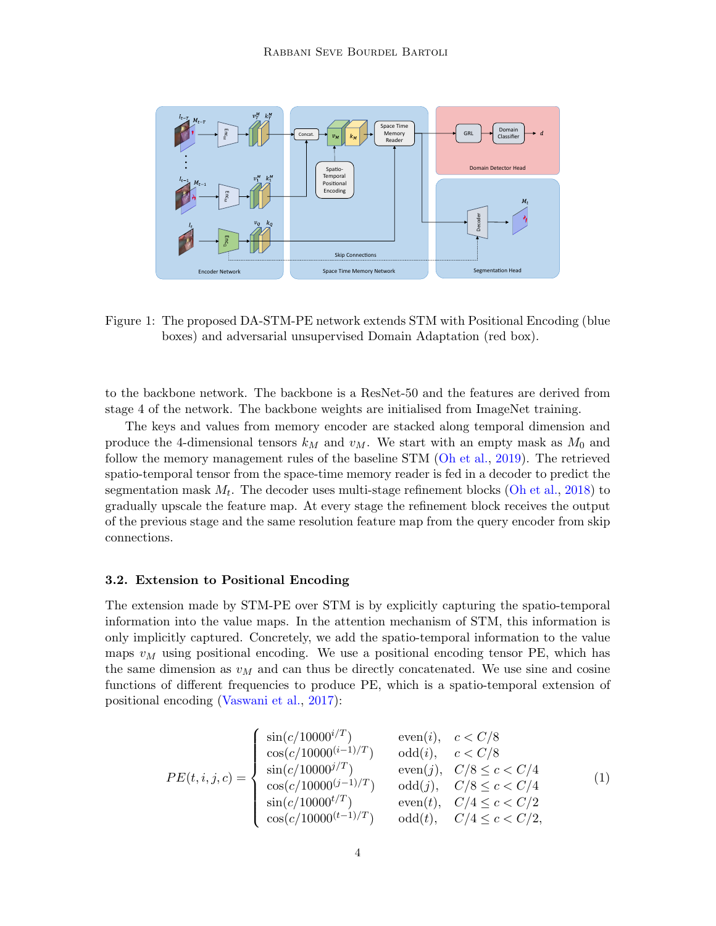

<span id="page-3-0"></span>Figure 1: The proposed DA-STM-PE network extends STM with Positional Encoding (blue boxes) and adversarial unsupervised Domain Adaptation (red box).

to the backbone network. The backbone is a ResNet-50 and the features are derived from stage 4 of the network. The backbone weights are initialised from ImageNet training.

The keys and values from memory encoder are stacked along temporal dimension and produce the 4-dimensional tensors  $k_M$  and  $v_M$ . We start with an empty mask as  $M_0$  and follow the memory management rules of the baseline STM [\(Oh et al.,](#page-10-6) [2019\)](#page-10-6). The retrieved spatio-temporal tensor from the space-time memory reader is fed in a decoder to predict the segmentation mask  $M_t$ . The decoder uses multi-stage refinement blocks [\(Oh et al.,](#page-10-8) [2018\)](#page-10-8) to gradually upscale the feature map. At every stage the refinement block receives the output of the previous stage and the same resolution feature map from the query encoder from skip connections.

#### 3.2. Extension to Positional Encoding

The extension made by STM-PE over STM is by explicitly capturing the spatio-temporal information into the value maps. In the attention mechanism of STM, this information is only implicitly captured. Concretely, we add the spatio-temporal information to the value maps  $v_M$  using positional encoding. We use a positional encoding tensor PE, which has the same dimension as  $v_M$  and can thus be directly concatenated. We use sine and cosine functions of different frequencies to produce PE, which is a spatio-temporal extension of positional encoding [\(Vaswani et al.,](#page-10-9) [2017\)](#page-10-9):

$$
PE(t, i, j, c) = \begin{cases} \sin(c/10000^{i/T}) & \text{even}(i), c < C/8\\ \cos(c/10000^{(i-1)/T}) & \text{odd}(i), c < C/8\\ \sin(c/10000^{j/T}) & \text{even}(j), C/8 \le c < C/4\\ \cos(c/10000^{(j-1)/T}) & \text{odd}(j), C/8 \le c < C/4\\ \sin(c/10000^{t/T}) & \text{even}(t), C/4 \le c < C/2\\ \cos(c/10000^{(t-1)/T}) & \text{odd}(t), C/4 \le c < C/2, \end{cases}
$$
(1)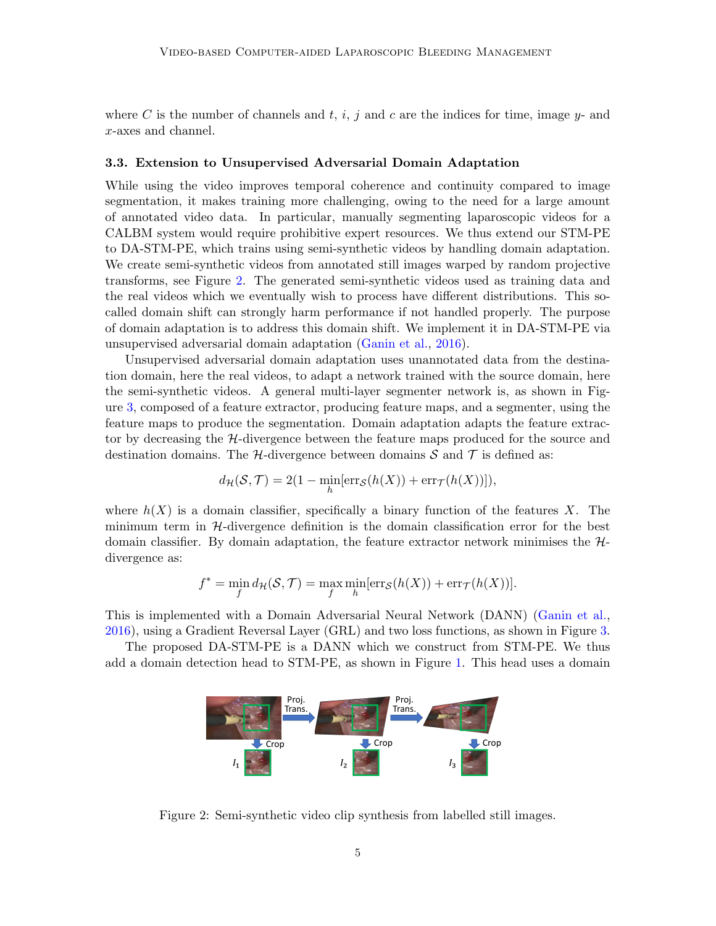where C is the number of channels and t, i, j and c are the indices for time, image  $y$ - and x-axes and channel.

#### 3.3. Extension to Unsupervised Adversarial Domain Adaptation

While using the video improves temporal coherence and continuity compared to image segmentation, it makes training more challenging, owing to the need for a large amount of annotated video data. In particular, manually segmenting laparoscopic videos for a CALBM system would require prohibitive expert resources. We thus extend our STM-PE to DA-STM-PE, which trains using semi-synthetic videos by handling domain adaptation. We create semi-synthetic videos from annotated still images warped by random projective transforms, see Figure [2.](#page-4-0) The generated semi-synthetic videos used as training data and the real videos which we eventually wish to process have different distributions. This socalled domain shift can strongly harm performance if not handled properly. The purpose of domain adaptation is to address this domain shift. We implement it in DA-STM-PE via unsupervised adversarial domain adaptation [\(Ganin et al.,](#page-8-8) [2016\)](#page-8-8).

Unsupervised adversarial domain adaptation uses unannotated data from the destination domain, here the real videos, to adapt a network trained with the source domain, here the semi-synthetic videos. A general multi-layer segmenter network is, as shown in Figure [3,](#page-5-0) composed of a feature extractor, producing feature maps, and a segmenter, using the feature maps to produce the segmentation. Domain adaptation adapts the feature extractor by decreasing the H-divergence between the feature maps produced for the source and destination domains. The H-divergence between domains  $\mathcal S$  and  $\mathcal T$  is defined as:

$$
d_{\mathcal{H}}(\mathcal{S},\mathcal{T})=2(1-\min_{h}[\text{err}_{\mathcal{S}}(h(X))+\text{err}_{\mathcal{T}}(h(X))]),
$$

where  $h(X)$  is a domain classifier, specifically a binary function of the features X. The minimum term in  $H$ -divergence definition is the domain classification error for the best domain classifier. By domain adaptation, the feature extractor network minimises the  $H$ divergence as:

$$
f^* = \min_{f} d_{\mathcal{H}}(\mathcal{S}, \mathcal{T}) = \max_{f} \min_{h} [\text{err}_{\mathcal{S}}(h(X)) + \text{err}_{\mathcal{T}}(h(X))].
$$

This is implemented with a Domain Adversarial Neural Network (DANN) [\(Ganin et al.,](#page-8-8) [2016\)](#page-8-8), using a Gradient Reversal Layer (GRL) and two loss functions, as shown in Figure [3.](#page-5-0)

The proposed DA-STM-PE is a DANN which we construct from STM-PE. We thus add a domain detection head to STM-PE, as shown in Figure [1.](#page-3-0) This head uses a domain



<span id="page-4-0"></span>Figure 2: Semi-synthetic video clip synthesis from labelled still images.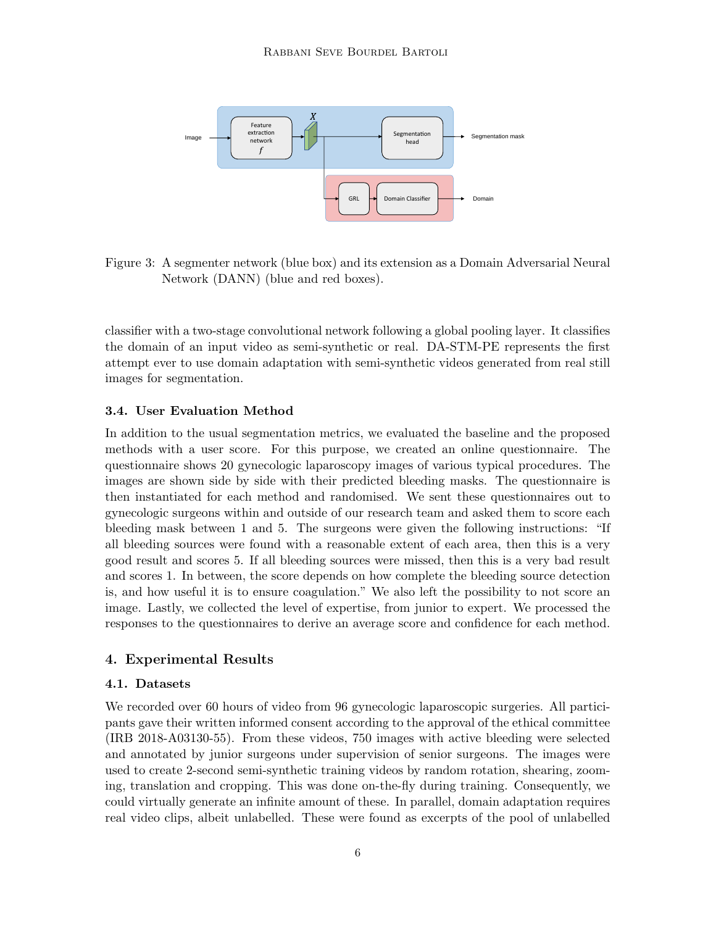

<span id="page-5-0"></span>Figure 3: A segmenter network (blue box) and its extension as a Domain Adversarial Neural Network (DANN) (blue and red boxes).

classifier with a two-stage convolutional network following a global pooling layer. It classifies the domain of an input video as semi-synthetic or real. DA-STM-PE represents the first attempt ever to use domain adaptation with semi-synthetic videos generated from real still images for segmentation.

## 3.4. User Evaluation Method

In addition to the usual segmentation metrics, we evaluated the baseline and the proposed methods with a user score. For this purpose, we created an online questionnaire. The questionnaire shows 20 gynecologic laparoscopy images of various typical procedures. The images are shown side by side with their predicted bleeding masks. The questionnaire is then instantiated for each method and randomised. We sent these questionnaires out to gynecologic surgeons within and outside of our research team and asked them to score each bleeding mask between 1 and 5. The surgeons were given the following instructions: "If all bleeding sources were found with a reasonable extent of each area, then this is a very good result and scores 5. If all bleeding sources were missed, then this is a very bad result and scores 1. In between, the score depends on how complete the bleeding source detection is, and how useful it is to ensure coagulation." We also left the possibility to not score an image. Lastly, we collected the level of expertise, from junior to expert. We processed the responses to the questionnaires to derive an average score and confidence for each method.

## 4. Experimental Results

#### 4.1. Datasets

We recorded over 60 hours of video from 96 gynecologic laparoscopic surgeries. All participants gave their written informed consent according to the approval of the ethical committee (IRB 2018-A03130-55). From these videos, 750 images with active bleeding were selected and annotated by junior surgeons under supervision of senior surgeons. The images were used to create 2-second semi-synthetic training videos by random rotation, shearing, zooming, translation and cropping. This was done on-the-fly during training. Consequently, we could virtually generate an infinite amount of these. In parallel, domain adaptation requires real video clips, albeit unlabelled. These were found as excerpts of the pool of unlabelled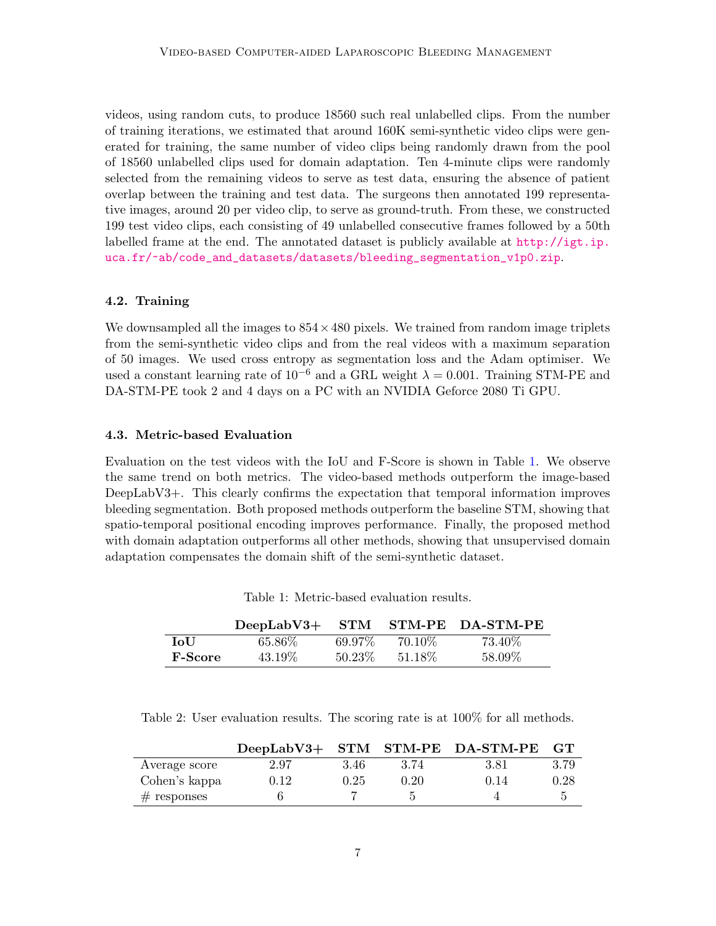videos, using random cuts, to produce 18560 such real unlabelled clips. From the number of training iterations, we estimated that around 160K semi-synthetic video clips were generated for training, the same number of video clips being randomly drawn from the pool of 18560 unlabelled clips used for domain adaptation. Ten 4-minute clips were randomly selected from the remaining videos to serve as test data, ensuring the absence of patient overlap between the training and test data. The surgeons then annotated 199 representative images, around 20 per video clip, to serve as ground-truth. From these, we constructed 199 test video clips, each consisting of 49 unlabelled consecutive frames followed by a 50th labelled frame at the end. The annotated dataset is publicly available at  $http://igt.jp.$ [uca.fr/~ab/code\\_and\\_datasets/datasets/bleeding\\_segmentation\\_v1p0.zip](http://igt.ip.uca.fr/~ab/code_and_datasets/datasets/bleeding_segmentation_v1p0.zip).

#### 4.2. Training

We downsampled all the images to  $854 \times 480$  pixels. We trained from random image triplets from the semi-synthetic video clips and from the real videos with a maximum separation of 50 images. We used cross entropy as segmentation loss and the Adam optimiser. We used a constant learning rate of  $10^{-6}$  and a GRL weight  $\lambda = 0.001$ . Training STM-PE and DA-STM-PE took 2 and 4 days on a PC with an NVIDIA Geforce 2080 Ti GPU.

#### 4.3. Metric-based Evaluation

Evaluation on the test videos with the IoU and F-Score is shown in Table [1.](#page-6-0) We observe the same trend on both metrics. The video-based methods outperform the image-based DeepLabV3+. This clearly confirms the expectation that temporal information improves bleeding segmentation. Both proposed methods outperform the baseline STM, showing that spatio-temporal positional encoding improves performance. Finally, the proposed method with domain adaptation outperforms all other methods, showing that unsupervised domain adaptation compensates the domain shift of the semi-synthetic dataset.

|                | $DeepLabV3+$ |           |         | STM STM-PE DA-STM-PE |
|----------------|--------------|-----------|---------|----------------------|
| LoU            | 65.86\%      | 69.97%    | 70.10\% | 73.40\%              |
| <b>F-Score</b> | 43.19%       | $50.23\%$ | 51.18\% | 58.09%               |

<span id="page-6-0"></span>Table 1: Metric-based evaluation results.

<span id="page-6-1"></span>Table 2: User evaluation results. The scoring rate is at 100% for all methods.

|               |      |      |      | DeepLabV3+ STM STM-PE DA-STM-PE | GT   |
|---------------|------|------|------|---------------------------------|------|
| Average score | 2.97 | 3.46 | 3.74 | 3.81                            | 3.79 |
| Cohen's kappa | 0.12 | 0.25 | 0.20 | 0.14                            | 0.28 |
| $#$ responses |      |      |      |                                 | h    |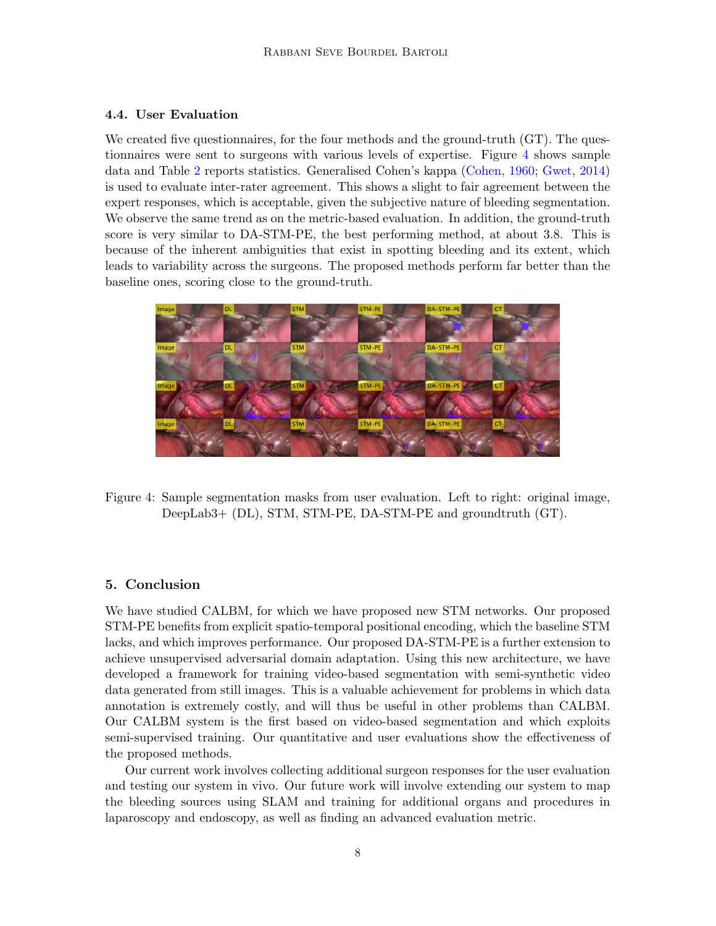## 4.4. User Evaluation

We created five questionnaires, for the four methods and the ground-truth (GT). The questionnaires were sent to surgeons with various levels of expertise. Figure [4](#page-7-0) shows sample data and Table [2](#page-6-1) reports statistics. Generalised Cohen's kappa [\(Cohen,](#page-8-9) [1960;](#page-8-9) [Gwet,](#page-9-10) [2014\)](#page-9-10) is used to evaluate inter-rater agreement. This shows a slight to fair agreement between the expert responses, which is acceptable, given the subjective nature of bleeding segmentation. We observe the same trend as on the metric-based evaluation. In addition, the ground-truth score is very similar to DA-STM-PE, the best performing method, at about 3.8. This is because of the inherent ambiguities that exist in spotting bleeding and its extent, which leads to variability across the surgeons. The proposed methods perform far better than the baseline ones, scoring close to the ground-truth.



Figure 4: Sample segmentation masks from user evaluation. Left to right: original image, DeepLab3+ (DL), STM, STM-PE, DA-STM-PE and groundtruth (GT).

## <span id="page-7-0"></span>5. Conclusion

We have studied CALBM, for which we have proposed new STM networks. Our proposed STM-PE benefits from explicit spatio-temporal positional encoding, which the baseline STM lacks, and which improves performance. Our proposed DA-STM-PE is a further extension to achieve unsupervised adversarial domain adaptation. Using this new architecture, we have developed a framework for training video-based segmentation with semi-synthetic video data generated from still images. This is a valuable achievement for problems in which data annotation is extremely costly, and will thus be useful in other problems than CALBM. Our CALBM system is the first based on video-based segmentation and which exploits semi-supervised training. Our quantitative and user evaluations show the effectiveness of the proposed methods.

Our current work involves collecting additional surgeon responses for the user evaluation and testing our system in vivo. Our future work will involve extending our system to map the bleeding sources using SLAM and training for additional organs and procedures in laparoscopy and endoscopy, as well as finding an advanced evaluation metric.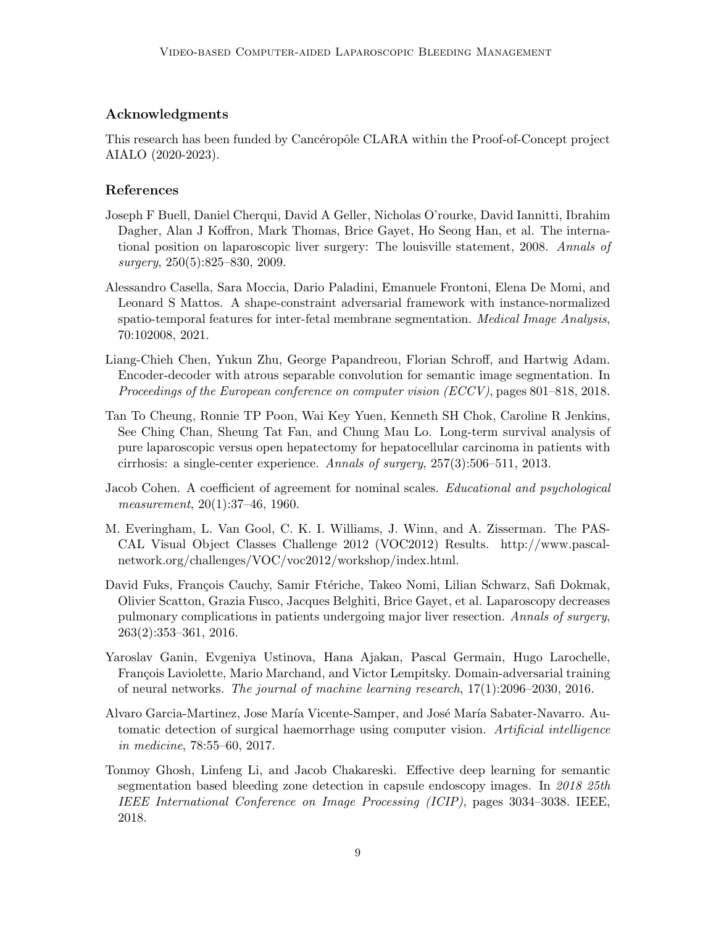# Acknowledgments

This research has been funded by Cancéropôle CLARA within the Proof-of-Concept project AIALO (2020-2023).

# References

- <span id="page-8-2"></span>Joseph F Buell, Daniel Cherqui, David A Geller, Nicholas O'rourke, David Iannitti, Ibrahim Dagher, Alan J Koffron, Mark Thomas, Brice Gayet, Ho Seong Han, et al. The international position on laparoscopic liver surgery: The louisville statement, 2008. Annals of surgery, 250(5):825–830, 2009.
- <span id="page-8-5"></span>Alessandro Casella, Sara Moccia, Dario Paladini, Emanuele Frontoni, Elena De Momi, and Leonard S Mattos. A shape-constraint adversarial framework with instance-normalized spatio-temporal features for inter-fetal membrane segmentation. Medical Image Analysis, 70:102008, 2021.
- <span id="page-8-7"></span>Liang-Chieh Chen, Yukun Zhu, George Papandreou, Florian Schroff, and Hartwig Adam. Encoder-decoder with atrous separable convolution for semantic image segmentation. In Proceedings of the European conference on computer vision (ECCV), pages 801–818, 2018.
- <span id="page-8-0"></span>Tan To Cheung, Ronnie TP Poon, Wai Key Yuen, Kenneth SH Chok, Caroline R Jenkins, See Ching Chan, Sheung Tat Fan, and Chung Mau Lo. Long-term survival analysis of pure laparoscopic versus open hepatectomy for hepatocellular carcinoma in patients with cirrhosis: a single-center experience. Annals of surgery, 257(3):506–511, 2013.
- <span id="page-8-9"></span>Jacob Cohen. A coefficient of agreement for nominal scales. Educational and psychological measurement, 20(1):37-46, 1960.
- <span id="page-8-6"></span>M. Everingham, L. Van Gool, C. K. I. Williams, J. Winn, and A. Zisserman. The PAS-CAL Visual Object Classes Challenge 2012 (VOC2012) Results. http://www.pascalnetwork.org/challenges/VOC/voc2012/workshop/index.html.
- <span id="page-8-1"></span>David Fuks, François Cauchy, Samir Ftériche, Takeo Nomi, Lilian Schwarz, Safi Dokmak, Olivier Scatton, Grazia Fusco, Jacques Belghiti, Brice Gayet, et al. Laparoscopy decreases pulmonary complications in patients undergoing major liver resection. Annals of surgery, 263(2):353–361, 2016.
- <span id="page-8-8"></span>Yaroslav Ganin, Evgeniya Ustinova, Hana Ajakan, Pascal Germain, Hugo Larochelle, François Laviolette, Mario Marchand, and Victor Lempitsky. Domain-adversarial training of neural networks. The journal of machine learning research, 17(1):2096–2030, 2016.
- <span id="page-8-3"></span>Alvaro Garcia-Martinez, Jose María Vicente-Samper, and José María Sabater-Navarro. Automatic detection of surgical haemorrhage using computer vision. Artificial intelligence in medicine, 78:55–60, 2017.
- <span id="page-8-4"></span>Tonmoy Ghosh, Linfeng Li, and Jacob Chakareski. Effective deep learning for semantic segmentation based bleeding zone detection in capsule endoscopy images. In 2018 25th IEEE International Conference on Image Processing (ICIP), pages 3034–3038. IEEE, 2018.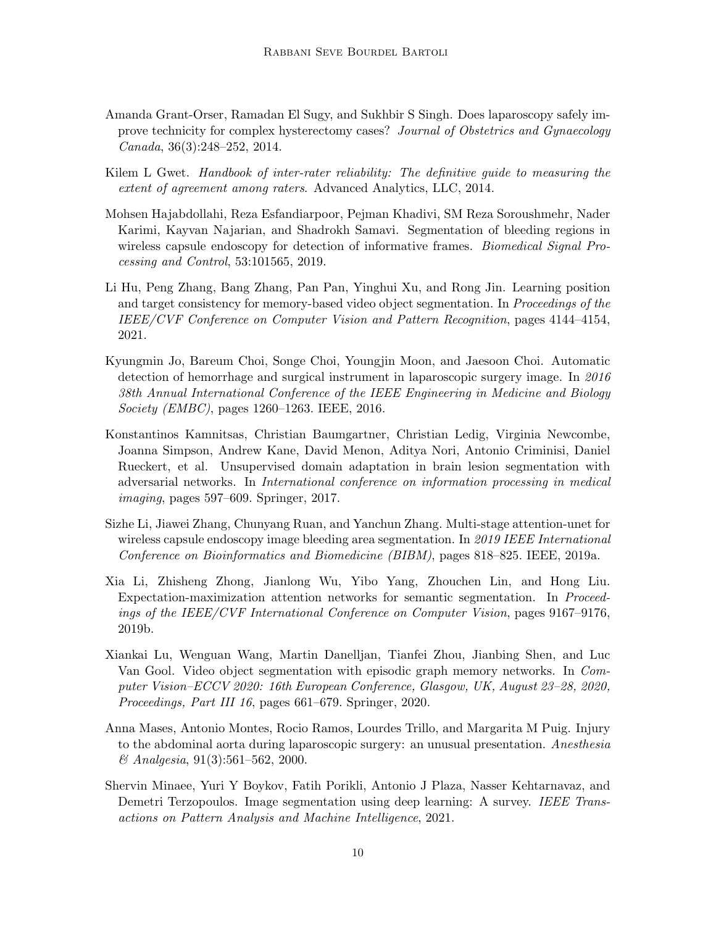- <span id="page-9-0"></span>Amanda Grant-Orser, Ramadan El Sugy, and Sukhbir S Singh. Does laparoscopy safely improve technicity for complex hysterectomy cases? Journal of Obstetrics and Gynaecology Canada, 36(3):248–252, 2014.
- <span id="page-9-10"></span>Kilem L Gwet. Handbook of inter-rater reliability: The definitive quide to measuring the extent of agreement among raters. Advanced Analytics, LLC, 2014.
- <span id="page-9-3"></span>Mohsen Hajabdollahi, Reza Esfandiarpoor, Pejman Khadivi, SM Reza Soroushmehr, Nader Karimi, Kayvan Najarian, and Shadrokh Samavi. Segmentation of bleeding regions in wireless capsule endoscopy for detection of informative frames. *Biomedical Signal Pro*cessing and Control, 53:101565, 2019.
- <span id="page-9-9"></span>Li Hu, Peng Zhang, Bang Zhang, Pan Pan, Yinghui Xu, and Rong Jin. Learning position and target consistency for memory-based video object segmentation. In Proceedings of the IEEE/CVF Conference on Computer Vision and Pattern Recognition, pages 4144–4154, 2021.
- <span id="page-9-2"></span>Kyungmin Jo, Bareum Choi, Songe Choi, Youngjin Moon, and Jaesoon Choi. Automatic detection of hemorrhage and surgical instrument in laparoscopic surgery image. In 2016 38th Annual International Conference of the IEEE Engineering in Medicine and Biology Society (EMBC), pages 1260–1263. IEEE, 2016.
- <span id="page-9-5"></span>Konstantinos Kamnitsas, Christian Baumgartner, Christian Ledig, Virginia Newcombe, Joanna Simpson, Andrew Kane, David Menon, Aditya Nori, Antonio Criminisi, Daniel Rueckert, et al. Unsupervised domain adaptation in brain lesion segmentation with adversarial networks. In International conference on information processing in medical imaging, pages 597–609. Springer, 2017.
- <span id="page-9-4"></span>Sizhe Li, Jiawei Zhang, Chunyang Ruan, and Yanchun Zhang. Multi-stage attention-unet for wireless capsule endoscopy image bleeding area segmentation. In 2019 IEEE International Conference on Bioinformatics and Biomedicine (BIBM), pages 818–825. IEEE, 2019a.
- <span id="page-9-7"></span>Xia Li, Zhisheng Zhong, Jianlong Wu, Yibo Yang, Zhouchen Lin, and Hong Liu. Expectation-maximization attention networks for semantic segmentation. In Proceedings of the IEEE/CVF International Conference on Computer Vision, pages 9167–9176, 2019b.
- <span id="page-9-8"></span>Xiankai Lu, Wenguan Wang, Martin Danelljan, Tianfei Zhou, Jianbing Shen, and Luc Van Gool. Video object segmentation with episodic graph memory networks. In Computer Vision–ECCV 2020: 16th European Conference, Glasgow, UK, August 23–28, 2020, Proceedings, Part III 16, pages 661–679. Springer, 2020.
- <span id="page-9-1"></span>Anna Mases, Antonio Montes, Rocio Ramos, Lourdes Trillo, and Margarita M Puig. Injury to the abdominal aorta during laparoscopic surgery: an unusual presentation. Anesthesia & Analgesia, 91(3):561–562, 2000.
- <span id="page-9-6"></span>Shervin Minaee, Yuri Y Boykov, Fatih Porikli, Antonio J Plaza, Nasser Kehtarnavaz, and Demetri Terzopoulos. Image segmentation using deep learning: A survey. IEEE Transactions on Pattern Analysis and Machine Intelligence, 2021.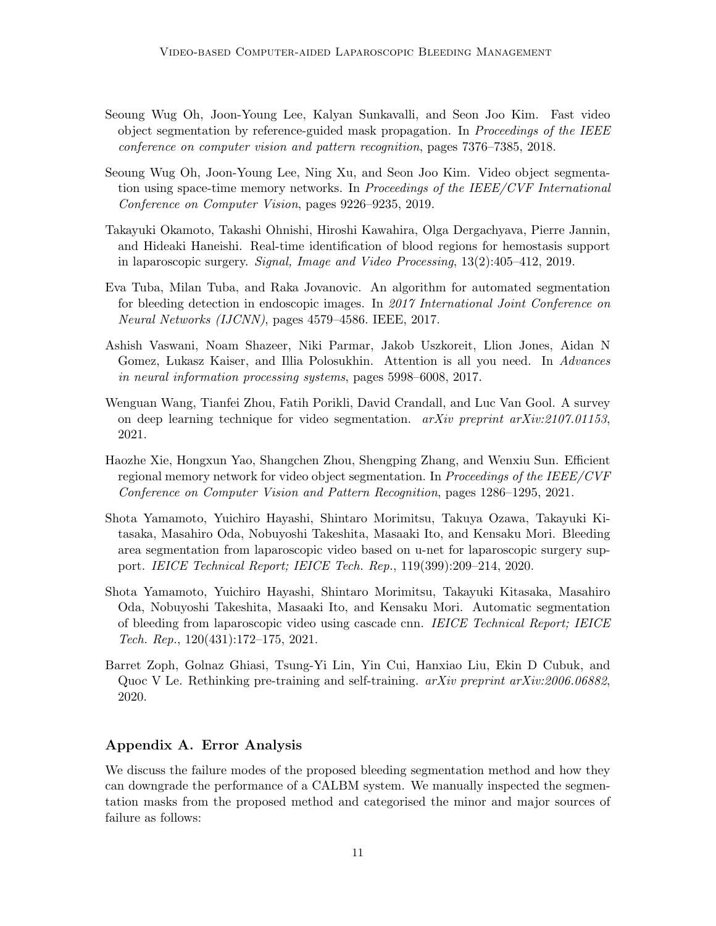- <span id="page-10-8"></span>Seoung Wug Oh, Joon-Young Lee, Kalyan Sunkavalli, and Seon Joo Kim. Fast video object segmentation by reference-guided mask propagation. In Proceedings of the IEEE conference on computer vision and pattern recognition, pages 7376–7385, 2018.
- <span id="page-10-6"></span>Seoung Wug Oh, Joon-Young Lee, Ning Xu, and Seon Joo Kim. Video object segmentation using space-time memory networks. In Proceedings of the IEEE/CVF International Conference on Computer Vision, pages 9226–9235, 2019.
- <span id="page-10-0"></span>Takayuki Okamoto, Takashi Ohnishi, Hiroshi Kawahira, Olga Dergachyava, Pierre Jannin, and Hideaki Haneishi. Real-time identification of blood regions for hemostasis support in laparoscopic surgery. Signal, Image and Video Processing, 13(2):405–412, 2019.
- <span id="page-10-3"></span>Eva Tuba, Milan Tuba, and Raka Jovanovic. An algorithm for automated segmentation for bleeding detection in endoscopic images. In 2017 International Joint Conference on Neural Networks (IJCNN), pages 4579–4586. IEEE, 2017.
- <span id="page-10-9"></span>Ashish Vaswani, Noam Shazeer, Niki Parmar, Jakob Uszkoreit, Llion Jones, Aidan N Gomez, Lukasz Kaiser, and Illia Polosukhin. Attention is all you need. In Advances in neural information processing systems, pages 5998–6008, 2017.
- <span id="page-10-5"></span>Wenguan Wang, Tianfei Zhou, Fatih Porikli, David Crandall, and Luc Van Gool. A survey on deep learning technique for video segmentation.  $arXiv$  preprint  $arXiv:2107.01153$ , 2021.
- <span id="page-10-7"></span>Haozhe Xie, Hongxun Yao, Shangchen Zhou, Shengping Zhang, and Wenxiu Sun. Efficient regional memory network for video object segmentation. In Proceedings of the IEEE/CVF Conference on Computer Vision and Pattern Recognition, pages 1286–1295, 2021.
- <span id="page-10-1"></span>Shota Yamamoto, Yuichiro Hayashi, Shintaro Morimitsu, Takuya Ozawa, Takayuki Kitasaka, Masahiro Oda, Nobuyoshi Takeshita, Masaaki Ito, and Kensaku Mori. Bleeding area segmentation from laparoscopic video based on u-net for laparoscopic surgery support. IEICE Technical Report; IEICE Tech. Rep., 119(399):209–214, 2020.
- <span id="page-10-2"></span>Shota Yamamoto, Yuichiro Hayashi, Shintaro Morimitsu, Takayuki Kitasaka, Masahiro Oda, Nobuyoshi Takeshita, Masaaki Ito, and Kensaku Mori. Automatic segmentation of bleeding from laparoscopic video using cascade cnn. IEICE Technical Report; IEICE Tech. Rep., 120(431):172–175, 2021.
- <span id="page-10-4"></span>Barret Zoph, Golnaz Ghiasi, Tsung-Yi Lin, Yin Cui, Hanxiao Liu, Ekin D Cubuk, and Quoc V Le. Rethinking pre-training and self-training. arXiv preprint arXiv:2006.06882, 2020.

## Appendix A. Error Analysis

We discuss the failure modes of the proposed bleeding segmentation method and how they can downgrade the performance of a CALBM system. We manually inspected the segmentation masks from the proposed method and categorised the minor and major sources of failure as follows: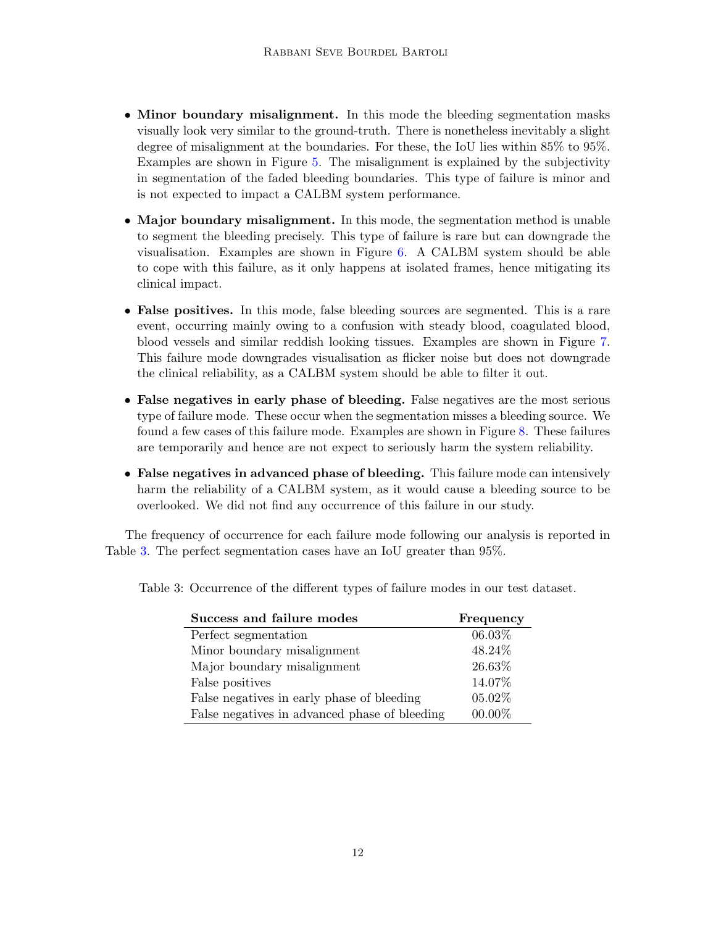- Minor boundary misalignment. In this mode the bleeding segmentation masks visually look very similar to the ground-truth. There is nonetheless inevitably a slight degree of misalignment at the boundaries. For these, the IoU lies within 85% to 95%. Examples are shown in Figure [5.](#page-12-0) The misalignment is explained by the subjectivity in segmentation of the faded bleeding boundaries. This type of failure is minor and is not expected to impact a CALBM system performance.
- Major boundary misalignment. In this mode, the segmentation method is unable to segment the bleeding precisely. This type of failure is rare but can downgrade the visualisation. Examples are shown in Figure [6.](#page-12-1) A CALBM system should be able to cope with this failure, as it only happens at isolated frames, hence mitigating its clinical impact.
- False positives. In this mode, false bleeding sources are segmented. This is a rare event, occurring mainly owing to a confusion with steady blood, coagulated blood, blood vessels and similar reddish looking tissues. Examples are shown in Figure [7.](#page-12-2) This failure mode downgrades visualisation as flicker noise but does not downgrade the clinical reliability, as a CALBM system should be able to filter it out.
- False negatives in early phase of bleeding. False negatives are the most serious type of failure mode. These occur when the segmentation misses a bleeding source. We found a few cases of this failure mode. Examples are shown in Figure [8.](#page-12-3) These failures are temporarily and hence are not expect to seriously harm the system reliability.
- False negatives in advanced phase of bleeding. This failure mode can intensively harm the reliability of a CALBM system, as it would cause a bleeding source to be overlooked. We did not find any occurrence of this failure in our study.

The frequency of occurrence for each failure mode following our analysis is reported in Table [3.](#page-11-0) The perfect segmentation cases have an IoU greater than 95%.

<span id="page-11-0"></span>

| Success and failure modes                     | Frequency |  |
|-----------------------------------------------|-----------|--|
| Perfect segmentation                          | 06.03%    |  |
| Minor boundary misalignment                   | 48.24%    |  |
| Major boundary misalignment                   | 26.63%    |  |
| False positives                               | 14.07%    |  |
| False negatives in early phase of bleeding    | 05.02%    |  |
| False negatives in advanced phase of bleeding | 00.00%    |  |

Table 3: Occurrence of the different types of failure modes in our test dataset.